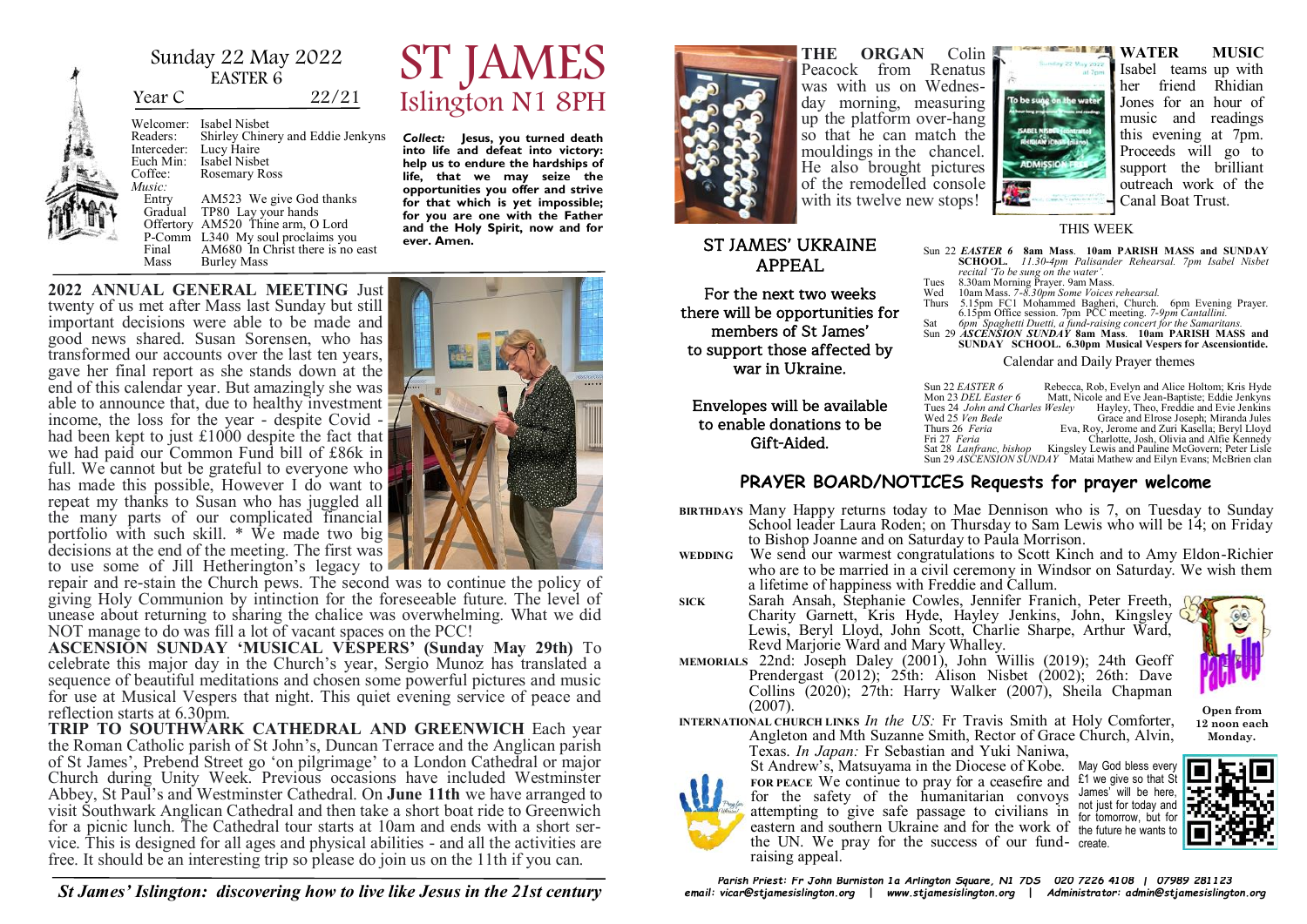### Sunday 22 May 2022 EASTER 6 Year C 22/21

Welcomer: Isabel Nisbet<br>Readers: Shirley Chine Shirley Chinery and Eddie Jenkyns Interceder: Lucy Haire Euch Min: Isabel Nisbet Rosemary Ross *Music:* AM523 We give God thanks Gradual TP80 Lay your hands Offertory AM520 Thine arm, O Lord P-Comm L340 My soul proclaims you<br>Final AM680 In Christ there is no Final AM680 In Christ there is no east<br>Mass Burley Mass **Burley Mass** 

## ST JAMES Islington N1 8PH

*Collect:* **Jesus, you turned death into life and defeat into victory: help us to endure the hardships of life, that we may seize the opportunities you offer and strive for that which is yet impossible; for you are one with the Father and the Holy Spirit, now and for ever. Amen.** 

**2022 ANNUAL GENERAL MEETING** Just twenty of us met after Mass last Sunday but still important decisions were able to be made and good news shared. Susan Sorensen, who has transformed our accounts over the last ten years, gave her final report as she stands down at the end of this calendar year. But amazingly she was able to announce that, due to healthy investment income, the loss for the year - despite Covid had been kept to just  $£1000$  despite the fact that we had paid our Common Fund bill of £86k in full. We cannot but be grateful to everyone who has made this possible, However I do want to repeat my thanks to Susan who has juggled all the many parts of our complicated financial portfolio with such skill. \* We made two big decisions at the end of the meeting. The first was to use some of Jill Hetherington's legacy to

repair and re-stain the Church pews. The second was to continue the policy of giving Holy Communion by intinction for the foreseeable future. The level of unease about returning to sharing the chalice was overwhelming. What we did NOT manage to do was fill a lot of vacant spaces on the PCC!

**ASCENSION SUNDAY 'MUSICAL VESPERS' (Sunday May 29th)** To celebrate this major day in the Church's year, Sergio Munoz has translated a sequence of beautiful meditations and chosen some powerful pictures and music for use at Musical Vespers that night. This quiet evening service of peace and reflection starts at 6.30pm.

**TRIP TO SOUTHWARK CATHEDRAL AND GREENWICH** Each year the Roman Catholic parish of St John's, Duncan Terrace and the Anglican parish of St James', Prebend Street go 'on pilgrimage' to a London Cathedral or major Church during Unity Week. Previous occasions have included Westminster Abbey, St Paul's and Westminster Cathedral. On **June 11th** we have arranged to visit Southwark Anglican Cathedral and then take a short boat ride to Greenwich for a picnic lunch. The Cathedral tour starts at 10am and ends with a short service. This is designed for all ages and physical abilities - and all the activities are free. It should be an interesting trip so please do join us on the 11th if you can.

*St James' Islington: discovering how to live like Jesus in the 21st century*



ST JAMES' UKRAINE APPEAL

For the next two weeks there will be opportunities for members of St James' to support those affected by war in Ukraine.

Envelopes will be available to enable donations to be Gift-Aided.

**THE ORGAN** Colin Peacock from Renatus was with us on Wednesday morning, measuring up the platform over-hang so that he can match the mouldings in the chancel. He also brought pictures of the remodelled console with its twelve new stops!



**WATER MUSIC**  Isabel teams up with her friend Rhidian Jones for an hour of music and readings this evening at 7pm. Proceeds will go to support the brilliant outreach work of the Canal Boat Trust.

THIS WEEK

- Sun 22 *EASTER 6* **8am Mass**. **10am PARISH MASS and SUNDAY SCHOOL.** *11.30-4pm Palisander Rehearsal. 7pm Isabel Nisbet recital 'To be sung on the water'.*
- Tues 8.30am Morning Prayer. 9am Mass.
- Wed 10am Mass. 7-8.30pm Some Voices rehearsal.<br>Thurs 5.15pm FC1 Mohammed Bagheri, Church.
- Thurs5.15pm FC1 Mohammed Bagheri, Church. 6pm Evening Prayer. 6.15pm Office session. 7pm PCC meeting. *7-9pm Cantallini.*
- Sat *6pm Spaghetti Duetti, a fund-raising concert for the Samaritans.* Sun 29 *ASCENSION SUNDAY* **8am Mass**. **10am PARISH MASS and SUNDAY SCHOOL. 6.30pm Musical Vespers for Ascensiontide.**

#### Calendar and Daily Prayer themes

| Sun 22 EASTER 6                 | Rebecca, Rob, Evelyn and Alice Holtom; Kris Hyde                   |
|---------------------------------|--------------------------------------------------------------------|
| Mon 23 DEL Easter 6             | Matt, Nicole and Eve Jean-Baptiste; Eddie Jenkyns                  |
| Tues 24 John and Charles Wesley | Hayley, Theo, Freddie and Evie Jenkins                             |
| Wed 25 Ven Bede                 | Grace and Elrose Joseph; Miranda Jules                             |
| Thurs 26 Feria                  | Eva, Roy, Jerome and Zuri Kasella; Beryl Lloyd                     |
| Fri 27 Feria                    | Charlotte, Josh, Olivia and Alfie Kennedy                          |
| Sat 28 Lanfranc, bishop         | Kingsley Lewis and Pauline McGovern; Peter Lisle                   |
|                                 | Sun 29 ASCENSION SUNDAY Matai Mathew and Eilyn Evans; McBrien clan |

### **PRAYER BOARD/NOTICES Requests for prayer welcome**

- **BIRTHDAYS** Many Happy returns today to Mae Dennison who is 7, on Tuesday to Sunday School leader Laura Roden; on Thursday to Sam Lewis who will be 14; on Friday to Bishop Joanne and on Saturday to Paula Morrison.
- **WEDDING** We send our warmest congratulations to Scott Kinch and to Amy Eldon-Richier who are to be married in a civil ceremony in Windsor on Saturday. We wish them a lifetime of happiness with Freddie and Callum.
- SICK Sarah Ansah, Stephanie Cowles, Jennifer Franich, Peter Freeth, C Charity Garnett, Kris Hyde, Hayley Jenkins, John, Kingsley Lewis, Beryl Lloyd, John Scott, Charlie Sharpe, Arthur Ward, Revd Marjorie Ward and Mary Whalley.



**Open from** 

**Monday.**

**MEMORIALS** 22nd: Joseph Daley (2001), John Willis (2019); 24th Geoff Prendergast (2012); 25th: Alison Nisbet (2002); 26th: Dave Collins (2020); 27th: Harry Walker (2007), Sheila Chapman (2007).

**INTERNATIONAL CHURCH LINKS** *In the US:* Fr Travis Smith at Holy Comforter, Angleton and Mth Suzanne Smith, Rector of Grace Church, Alvin, Texas. *In Japan:* Fr Sebastian and Yuki Naniwa, **12 noon each** 

St Andrew's, Matsuyama in the Diocese of Kobe. May God bless every **FOR PEACE** We continue to pray for a ceasefire and £1 we give so that St for the safety of the humanitarian convoys James' will be here, attempting to give safe passage to civilians in  $_{\text{for~common~but~for}}$ eastern and southern Ukraine and for the work of the future he wants to the UN. We pray for the success of our fund- create.

for tomorrow, but for





*Parish Priest: Fr John Burniston 1a Arlington Square, N1 7DS 020 7226 4108 | 07989 281123 email: vicar@stjamesislington.org* **|** *www.stjamesislington.org* **|** *Administrator: admin@stjamesislington.org*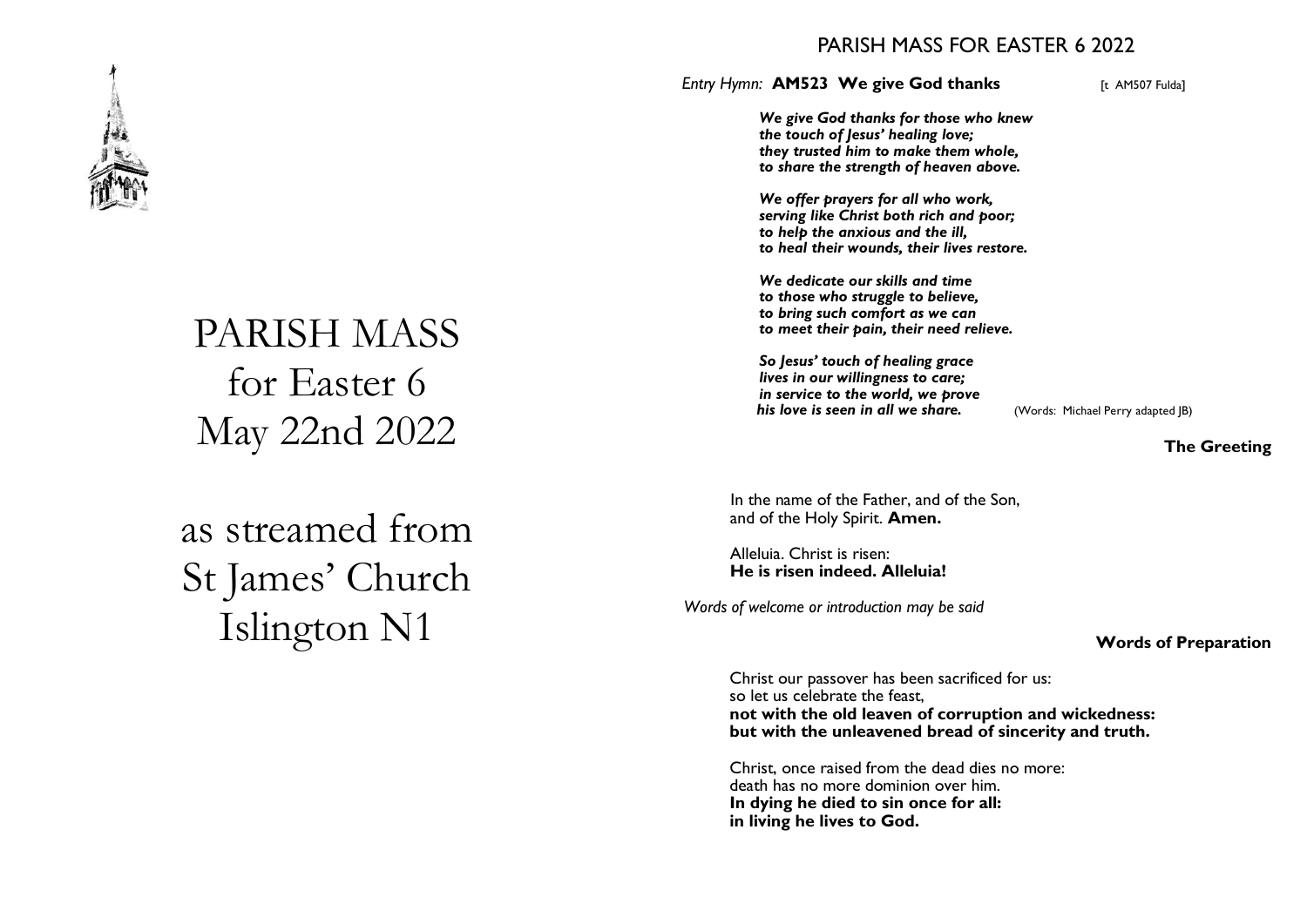

# PARISH MASS for Easter 6 May 22nd 2022

as streamed from St James' Church Islington N1

## PARISH MASS FOR FASTER 6 2022

*Entry Hymn:* **AM523 We give God thanks Example 21 Fuldal** [t AM507 Fulda]

*We give God thanks for those who knew the touch of Jesus' healing love; they trusted him to make them whole, to share the strength of heaven above.* 

*We offer prayers for all who work, serving like Christ both rich and poor; to help the anxious and the ill, to heal their wounds, their lives restore.* 

*We dedicate our skills and time to those who struggle to believe, to bring such comfort as we can to meet their pain, their need relieve.* 

*So Jesus' touch of healing grace lives in our willingness to care; in service to the world, we prove* **his love is seen in all we share.** (Words: Michael Perry adapted IB)

**The Greeting**

In the name of the Father, and of the Son, and of the Holy Spirit. **Amen.**

Alleluia. Christ is risen: **He is risen indeed. Alleluia!**

*Words of welcome or introduction may be said*

**Words of Preparation**

Christ our passover has been sacrificed for us: so let us celebrate the feast, **not with the old leaven of corruption and wickedness: but with the unleavened bread of sincerity and truth.**

Christ, once raised from the dead dies no more: death has no more dominion over him. **In dying he died to sin once for all: in living he lives to God.**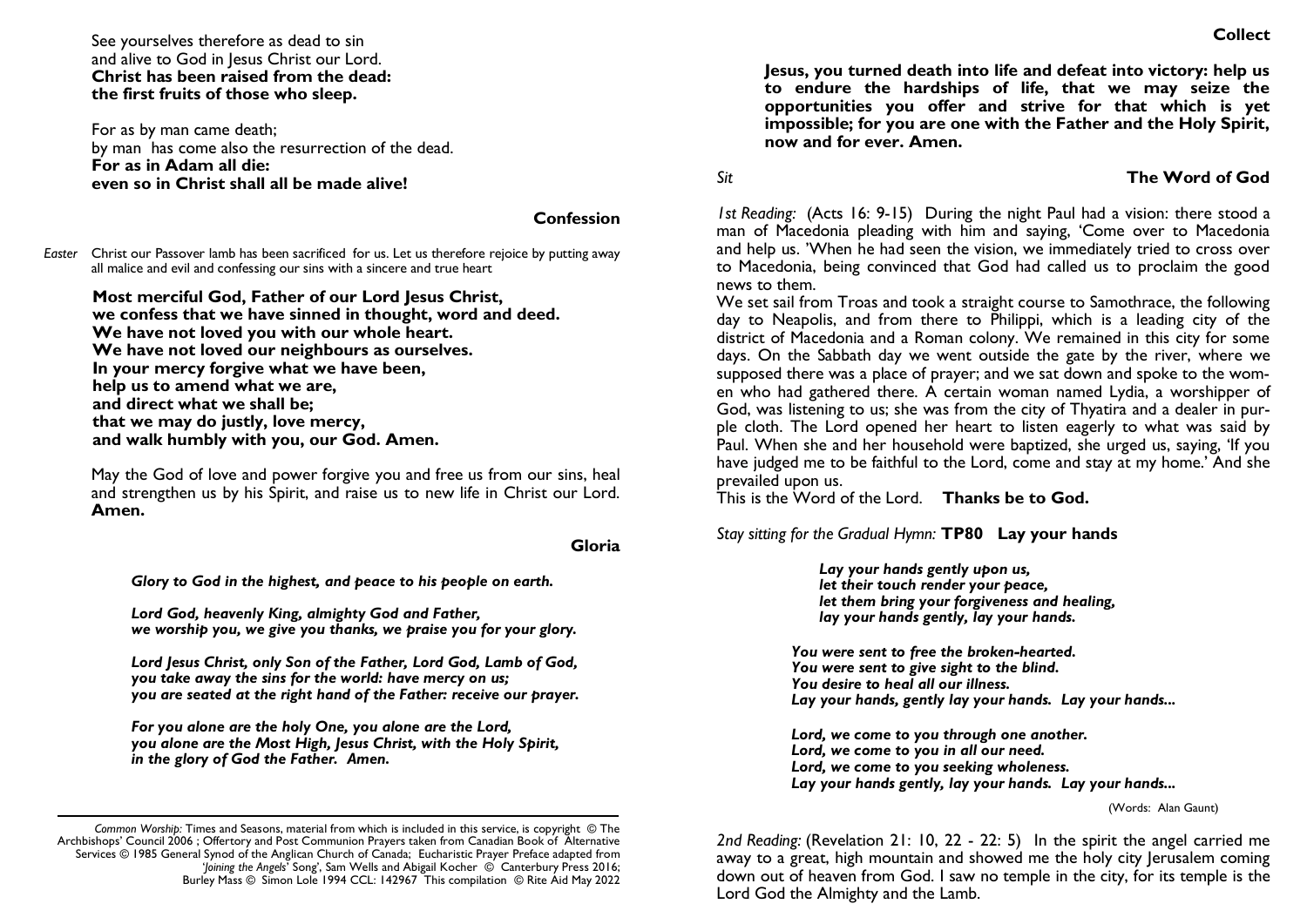#### See yourselves therefore as dead to sin and alive to God in Jesus Christ our Lord. **Christ has been raised from the dead: the first fruits of those who sleep.**

For as by man came death; by man has come also the resurrection of the dead. **For as in Adam all die: even so in Christ shall all be made alive!**

**Confession**

*Easter* Christ our Passover lamb has been sacrificed for us. Let us therefore rejoice by putting away all malice and evil and confessing our sins with a sincere and true heart

**Most merciful God, Father of our Lord Jesus Christ, we confess that we have sinned in thought, word and deed. We have not loved you with our whole heart. We have not loved our neighbours as ourselves. In your mercy forgive what we have been, help us to amend what we are, and direct what we shall be; that we may do justly, love mercy, and walk humbly with you, our God. Amen.**

May the God of love and power forgive you and free us from our sins, heal and strengthen us by his Spirit, and raise us to new life in Christ our Lord. **Amen.**

#### **Gloria**

*Glory to God in the highest, and peace to his people on earth.*

*Lord God, heavenly King, almighty God and Father, we worship you, we give you thanks, we praise you for your glory.* 

*Lord Jesus Christ, only Son of the Father, Lord God, Lamb of God, you take away the sins for the world: have mercy on us; you are seated at the right hand of the Father: receive our prayer.*

*For you alone are the holy One, you alone are the Lord, you alone are the Most High, Jesus Christ, with the Holy Spirit, in the glory of God the Father. Amen.* 

*Common Worship:* Times and Seasons, material from which is included in this service, is copyright © The Archbishops' Council 2006 ; Offertory and Post Communion Prayers taken from Canadian Book of Alternative Services © 1985 General Synod of the Anglican Church of Canada; Eucharistic Prayer Preface adapted from '*Joining the Angels*' Song', Sam Wells and Abigail Kocher © Canterbury Press 2016; Burley Mass © Simon Lole 1994 CCL: 142967 This compilation © Rite Aid May 2022

**Jesus, you turned death into life and defeat into victory: help us to endure the hardships of life, that we may seize the opportunities you offer and strive for that which is yet impossible; for you are one with the Father and the Holy Spirit, now and for ever. Amen.** 

#### *Sit* **The Word of God**

*1st Reading:* (Acts 16: 9-15) During the night Paul had a vision: there stood a man of Macedonia pleading with him and saying, 'Come over to Macedonia and help us. 'When he had seen the vision, we immediately tried to cross over to Macedonia, being convinced that God had called us to proclaim the good news to them.

We set sail from Troas and took a straight course to Samothrace, the following day to Neapolis, and from there to Philippi, which is a leading city of the district of Macedonia and a Roman colony. We remained in this city for some days. On the Sabbath day we went outside the gate by the river, where we supposed there was a place of prayer; and we sat down and spoke to the women who had gathered there. A certain woman named Lydia, a worshipper of God, was listening to us; she was from the city of Thyatira and a dealer in purple cloth. The Lord opened her heart to listen eagerly to what was said by Paul. When she and her household were baptized, she urged us, saying, 'If you have judged me to be faithful to the Lord, come and stay at my home.' And she prevailed upon us.

This is the Word of the Lord. **Thanks be to God.** 

*Stay sitting for the Gradual Hymn:* **TP80 Lay your hands** 

*Lay your hands gently upon us, let their touch render your peace, let them bring your forgiveness and healing, lay your hands gently, lay your hands.* 

*You were sent to free the broken-hearted. You were sent to give sight to the blind. You desire to heal all our illness. Lay your hands, gently lay your hands. Lay your hands...*

*Lord, we come to you through one another. Lord, we come to you in all our need. Lord, we come to you seeking wholeness. Lay your hands gently, lay your hands. Lay your hands...* 

(Words: Alan Gaunt)

*2nd Reading:* (Revelation 21: 10, 22 - 22: 5) In the spirit the angel carried me away to a great, high mountain and showed me the holy city Jerusalem coming down out of heaven from God. I saw no temple in the city, for its temple is the Lord God the Almighty and the Lamb.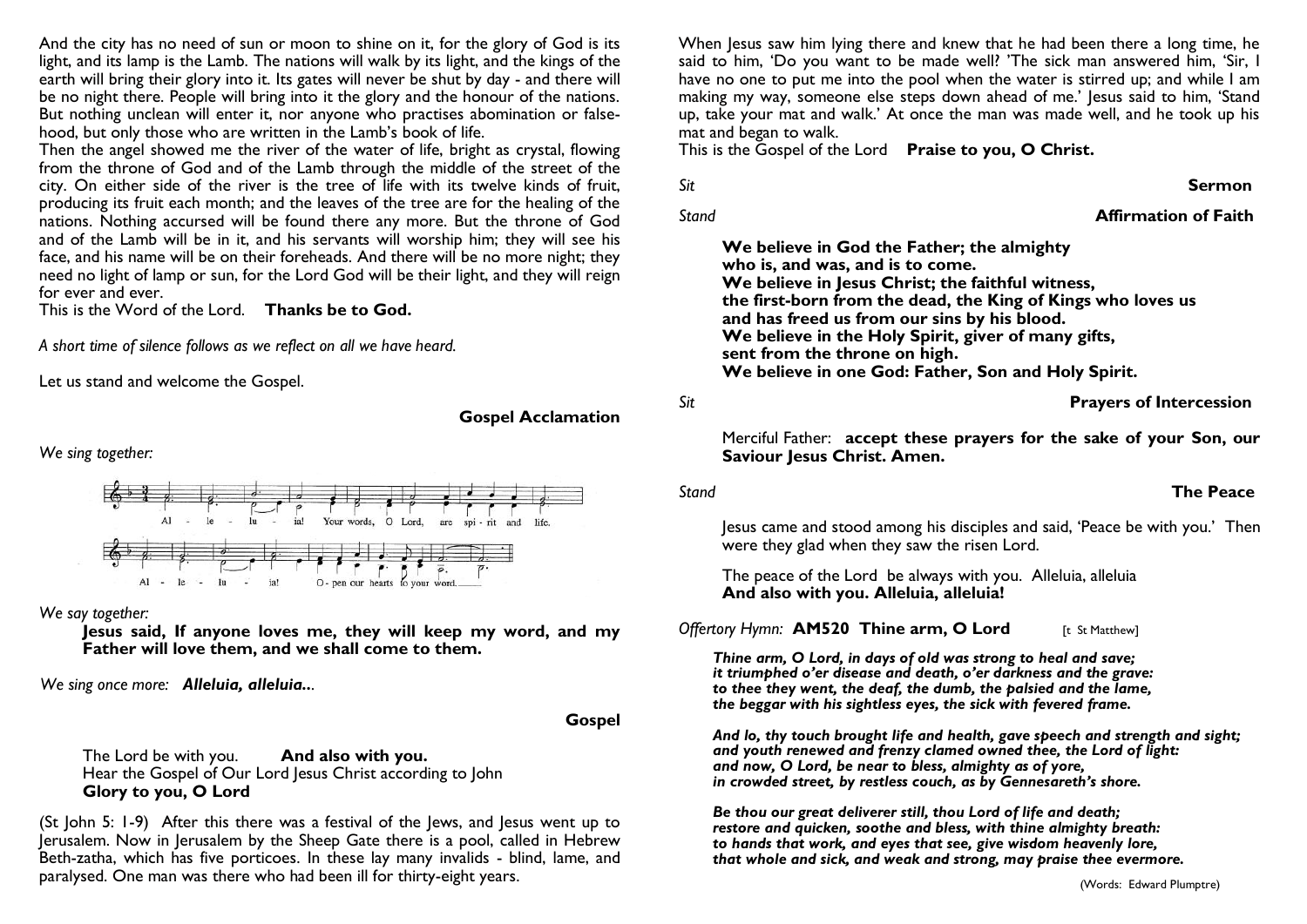And the city has no need of sun or moon to shine on it, for the glory of God is its light, and its lamp is the Lamb. The nations will walk by its light, and the kings of the earth will bring their glory into it. Its gates will never be shut by day - and there will be no night there. People will bring into it the glory and the honour of the nations. But nothing unclean will enter it, nor anyone who practises abomination or falsehood, but only those who are written in the Lamb's book of life.

Then the angel showed me the river of the water of life, bright as crystal, flowing from the throne of God and of the Lamb through the middle of the street of the city. On either side of the river is the tree of life with its twelve kinds of fruit, producing its fruit each month; and the leaves of the tree are for the healing of the nations. Nothing accursed will be found there any more. But the throne of God and of the Lamb will be in it, and his servants will worship him; they will see his face, and his name will be on their foreheads. And there will be no more night; they need no light of lamp or sun, for the Lord God will be their light, and they will reign for ever and ever.

This is the Word of the Lord. **Thanks be to God.** 

*A short time of silence follows as we reflect on all we have heard.* 

Let us stand and welcome the Gospel.

#### **Gospel Acclamation**

*We sing together:*



#### *We say together:*

**Jesus said, If anyone loves me, they will keep my word, and my Father will love them, and we shall come to them.** 

*We sing once more: Alleluia, alleluia...*

#### **Gospel**

The Lord be with you. **And also with you.**  Hear the Gospel of Our Lord Jesus Christ according to John **Glory to you, O Lord**

(St John 5: 1-9) After this there was a festival of the Jews, and Jesus went up to Jerusalem. Now in Jerusalem by the Sheep Gate there is a pool, called in Hebrew Beth-zatha, which has five porticoes. In these lay many invalids - blind, lame, and paralysed. One man was there who had been ill for thirty-eight years.

When Jesus saw him lying there and knew that he had been there a long time, he said to him, 'Do you want to be made well? 'The sick man answered him, 'Sir, I have no one to put me into the pool when the water is stirred up; and while I am making my way, someone else steps down ahead of me.' Jesus said to him, 'Stand up, take your mat and walk.' At once the man was made well, and he took up his mat and began to walk.

This is the Gospel of the Lord **Praise to you, O Christ.** 

*Sit* **Sermon**

*Stand* **Affirmation of Faith**

**We believe in God the Father; the almighty who is, and was, and is to come. We believe in Jesus Christ; the faithful witness, the first-born from the dead, the King of Kings who loves us and has freed us from our sins by his blood. We believe in the Holy Spirit, giver of many gifts, sent from the throne on high. We believe in one God: Father, Son and Holy Spirit.** 

#### *Sit* **Prayers of Intercession**

Merciful Father: **accept these prayers for the sake of your Son, our Saviour Jesus Christ. Amen.** 

#### *Stand* **The Peace**

Jesus came and stood among his disciples and said, 'Peace be with you.' Then were they glad when they saw the risen Lord.

The peace of the Lord be always with you. Alleluia, alleluia **And also with you. Alleluia, alleluia!**

*Offertory Hymn:* **AM520 Thine arm, O Lord It St Matthew]** 

*Thine arm, O Lord, in days of old was strong to heal and save; it triumphed o'er disease and death, o'er darkness and the grave: to thee they went, the deaf, the dumb, the palsied and the lame, the beggar with his sightless eyes, the sick with fevered frame.* 

*And lo, thy touch brought life and health, gave speech and strength and sight; and youth renewed and frenzy clamed owned thee, the Lord of light: and now, O Lord, be near to bless, almighty as of yore, in crowded street, by restless couch, as by Gennesareth's shore.* 

*Be thou our great deliverer still, thou Lord of life and death; restore and quicken, soothe and bless, with thine almighty breath: to hands that work, and eyes that see, give wisdom heavenly lore, that whole and sick, and weak and strong, may praise thee evermore.*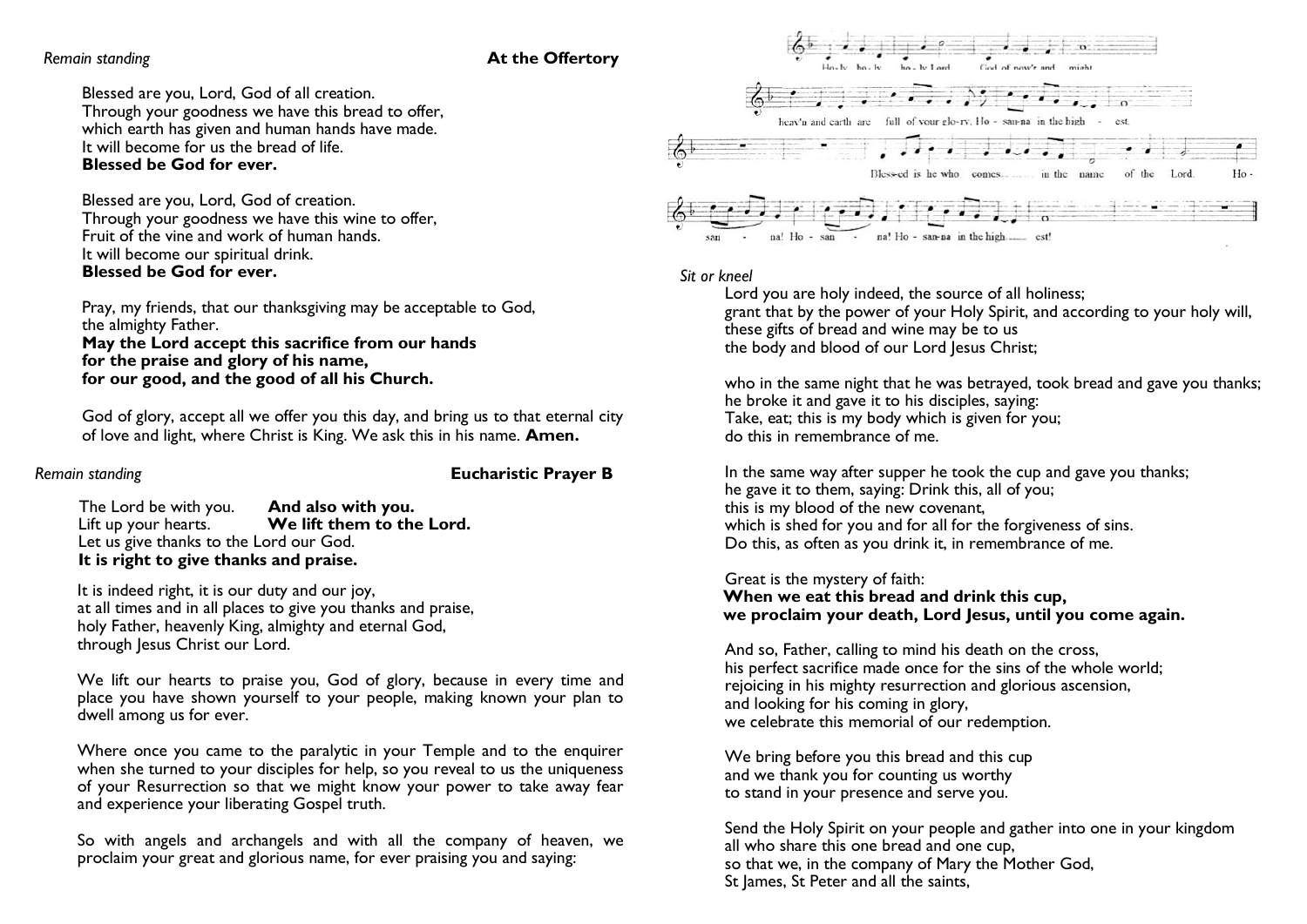### *Remain standing At the Offertory*

Blessed are you, Lord, God of all creation. Through your goodness we have this bread to offer, which earth has given and human hands have made. It will become for us the bread of life. **Blessed be God for ever.** 

Blessed are you, Lord, God of creation. Through your goodness we have this wine to offer, Fruit of the vine and work of human hands. It will become our spiritual drink. **Blessed be God for ever.** 

Pray, my friends, that our thanksgiving may be acceptable to God, the almighty Father.

**May the Lord accept this sacrifice from our hands for the praise and glory of his name, for our good, and the good of all his Church.** 

God of glory, accept all we offer you this day, and bring us to that eternal city of love and light, where Christ is King. We ask this in his name. **Amen.**

#### *Remain standing* **Eucharistic Prayer B**

The Lord be with you. **And also with you.** We lift them to the Lord. Let us give thanks to the Lord our God. **It is right to give thanks and praise.**

It is indeed right, it is our duty and our joy, at all times and in all places to give you thanks and praise, holy Father, heavenly King, almighty and eternal God, through Jesus Christ our Lord.

We lift our hearts to praise you, God of glory, because in every time and place you have shown yourself to your people, making known your plan to dwell among us for ever.

Where once you came to the paralytic in your Temple and to the enquirer when she turned to your disciples for help, so you reveal to us the uniqueness of your Resurrection so that we might know your power to take away fear and experience your liberating Gospel truth.

So with angels and archangels and with all the company of heaven, we proclaim your great and glorious name, for ever praising you and saying:



*Sit or kneel* 

Lord you are holy indeed, the source of all holiness; grant that by the power of your Holy Spirit, and according to your holy will, these gifts of bread and wine may be to us the body and blood of our Lord Jesus Christ;

who in the same night that he was betrayed, took bread and gave you thanks; he broke it and gave it to his disciples, saying: Take, eat; this is my body which is given for you; do this in remembrance of me.

In the same way after supper he took the cup and gave you thanks; he gave it to them, saying: Drink this, all of you; this is my blood of the new covenant, which is shed for you and for all for the forgiveness of sins. Do this, as often as you drink it, in remembrance of me.

Great is the mystery of faith: **When we eat this bread and drink this cup,** we proclaim your death, Lord Jesus, until you come again.

And so, Father, calling to mind his death on the cross, his perfect sacrifice made once for the sins of the whole world; rejoicing in his mighty resurrection and glorious ascension, and looking for his coming in glory, we celebrate this memorial of our redemption.

We bring before you this bread and this cup and we thank you for counting us worthy to stand in your presence and serve you.

Send the Holy Spirit on your people and gather into one in your kingdom all who share this one bread and one cup, so that we, in the company of Mary the Mother God, St James, St Peter and all the saints,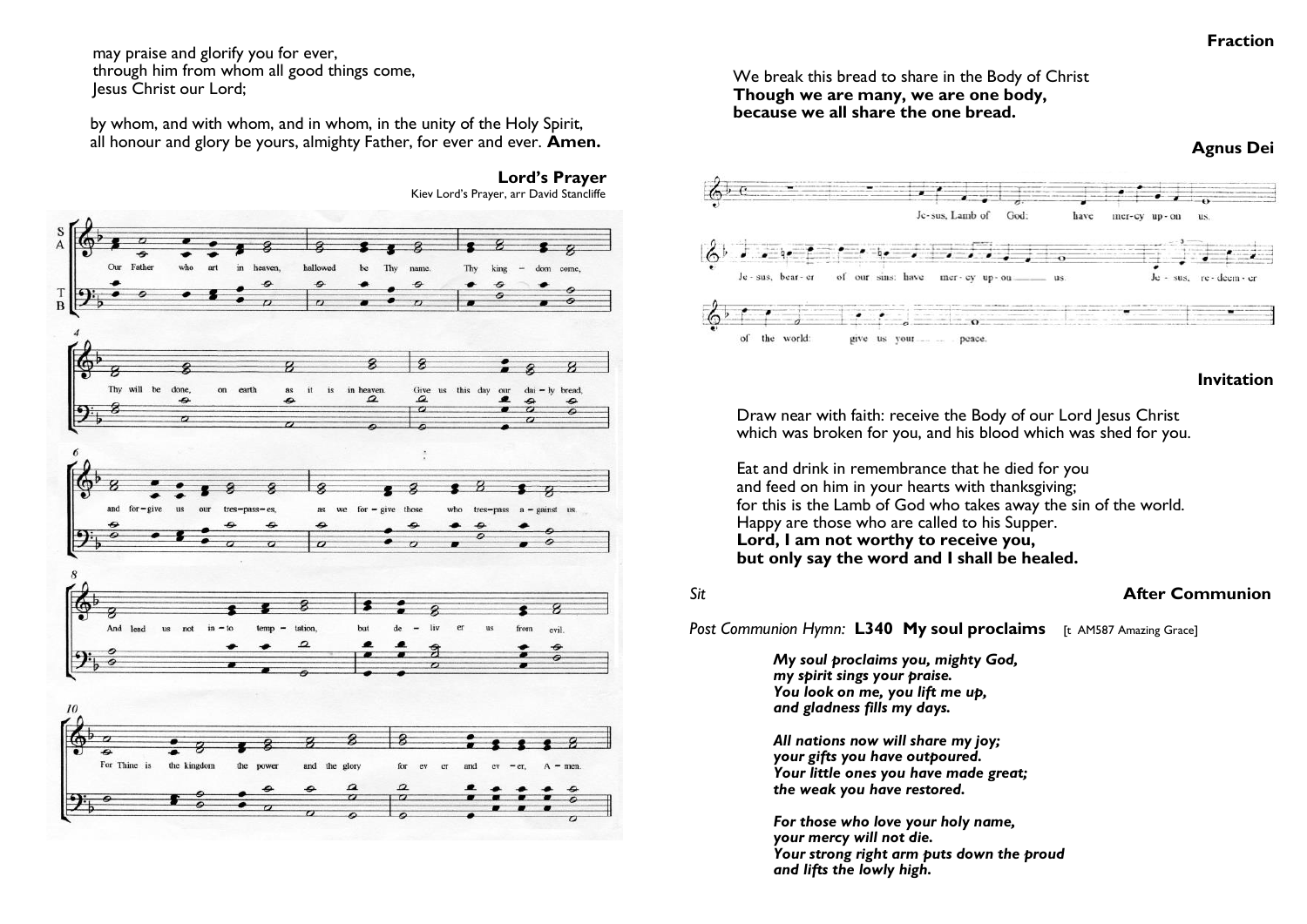may praise and glorify you for ever, through him from whom all good things come, Jesus Christ our Lord;

by whom, and with whom, and in whom, in the unity of the Holy Spirit, all honour and glory be yours, almighty Father, for ever and ever. **Amen.**



#### We break this bread to share in the Body of Christ **Though we are many, we are one body, because we all share the one bread.**



#### **Invitation**

Draw near with faith: receive the Body of our Lord Jesus Christ which was broken for you, and his blood which was shed for you.

Eat and drink in remembrance that he died for you and feed on him in your hearts with thanksgiving; for this is the Lamb of God who takes away the sin of the world. Happy are those who are called to his Supper. **Lord, I am not worthy to receive you, but only say the word and I shall be healed.** 

#### *Sit* **After Communion**

*Post Communion Hymn:* **L340 My soul proclaims**[t AM587 Amazing Grace]

*My soul proclaims you, mighty God, my spirit sings your praise. You look on me, you lift me up, and gladness fills my days.* 

*All nations now will share my joy; your gifts you have outpoured. Your little ones you have made great; the weak you have restored.* 

*For those who love your holy name, your mercy will not die. Your strong right arm puts down the proud and lifts the lowly high.*